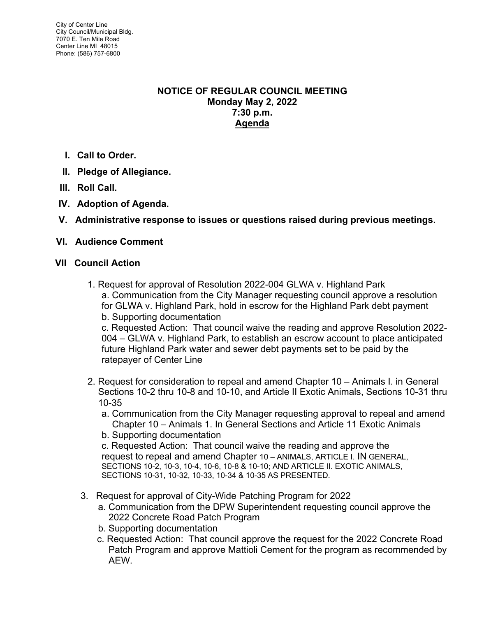## **NOTICE OF REGULAR COUNCIL MEETING Monday May 2, 2022 7:30 p.m. Agenda**

- **I. Call to Order.**
- **II. Pledge of Allegiance.**
- **III. Roll Call.**
- **IV. Adoption of Agenda.**
- **V. Administrative response to issues or questions raised during previous meetings.**

# **VI. Audience Comment**

## **VII Council Action**

1. Request for approval of Resolution 2022-004 GLWA v. Highland Park a. Communication from the City Manager requesting council approve a resolution for GLWA v. Highland Park, hold in escrow for the Highland Park debt payment b. Supporting documentation

c. Requested Action: That council waive the reading and approve Resolution 2022- 004 – GLWA v. Highland Park, to establish an escrow account to place anticipated future Highland Park water and sewer debt payments set to be paid by the ratepayer of Center Line

- 2. Request for consideration to repeal and amend Chapter 10 Animals I. in General Sections 10-2 thru 10-8 and 10-10, and Article II Exotic Animals, Sections 10-31 thru 10-35
	- a. Communication from the City Manager requesting approval to repeal and amend Chapter 10 – Animals 1. In General Sections and Article 11 Exotic Animals
	- b. Supporting documentation

c. Requested Action: That council waive the reading and approve the request to repeal and amend Chapter 10 – ANIMALS, ARTICLE I. IN GENERAL, SECTIONS 10-2, 10-3, 10-4, 10-6, 10-8 & 10-10; AND ARTICLE II. EXOTIC ANIMALS, SECTIONS 10-31, 10-32, 10-33, 10-34 & 10-35 AS PRESENTED.

- 3. Request for approval of City-Wide Patching Program for 2022
	- a. Communication from the DPW Superintendent requesting council approve the 2022 Concrete Road Patch Program
	- b. Supporting documentation
	- c. Requested Action: That council approve the request for the 2022 Concrete Road Patch Program and approve Mattioli Cement for the program as recommended by AEW.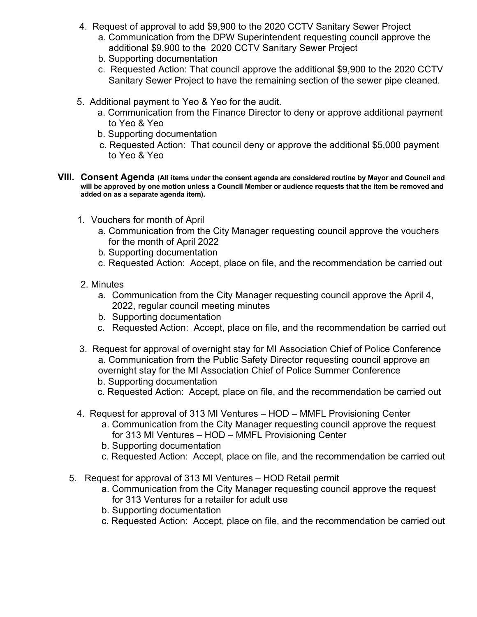- 4. Request of approval to add \$9,900 to the 2020 CCTV Sanitary Sewer Project
	- a. Communication from the DPW Superintendent requesting council approve the additional \$9,900 to the 2020 CCTV Sanitary Sewer Project
	- b. Supporting documentation
	- c. Requested Action: That council approve the additional \$9,900 to the 2020 CCTV Sanitary Sewer Project to have the remaining section of the sewer pipe cleaned.
- 5. Additional payment to Yeo & Yeo for the audit.
	- a. Communication from the Finance Director to deny or approve additional payment to Yeo & Yeo
	- b. Supporting documentation
	- c. Requested Action: That council deny or approve the additional \$5,000 payment to Yeo & Yeo
- **VIII. Consent Agenda (All items under the consent agenda are considered routine by Mayor and Council and will be approved by one motion unless a Council Member or audience requests that the item be removed and added on as a separate agenda item).**
	- 1. Vouchers for month of April
		- a. Communication from the City Manager requesting council approve the vouchers for the month of April 2022
		- b. Supporting documentation
		- c. Requested Action: Accept, place on file, and the recommendation be carried out
	- 2. Minutes
		- a. Communication from the City Manager requesting council approve the April 4, 2022, regular council meeting minutes
		- b. Supporting documentation
		- c. Requested Action: Accept, place on file, and the recommendation be carried out
	- 3. Request for approval of overnight stay for MI Association Chief of Police Conference a. Communication from the Public Safety Director requesting council approve an overnight stay for the MI Association Chief of Police Summer Conference
		- b. Supporting documentation
		- c. Requested Action: Accept, place on file, and the recommendation be carried out
	- 4. Request for approval of 313 MI Ventures HOD MMFL Provisioning Center
		- a. Communication from the City Manager requesting council approve the request for 313 MI Ventures – HOD – MMFL Provisioning Center
		- b. Supporting documentation
		- c. Requested Action: Accept, place on file, and the recommendation be carried out
	- 5. Request for approval of 313 MI Ventures HOD Retail permit
		- a. Communication from the City Manager requesting council approve the request for 313 Ventures for a retailer for adult use
		- b. Supporting documentation
		- c. Requested Action: Accept, place on file, and the recommendation be carried out